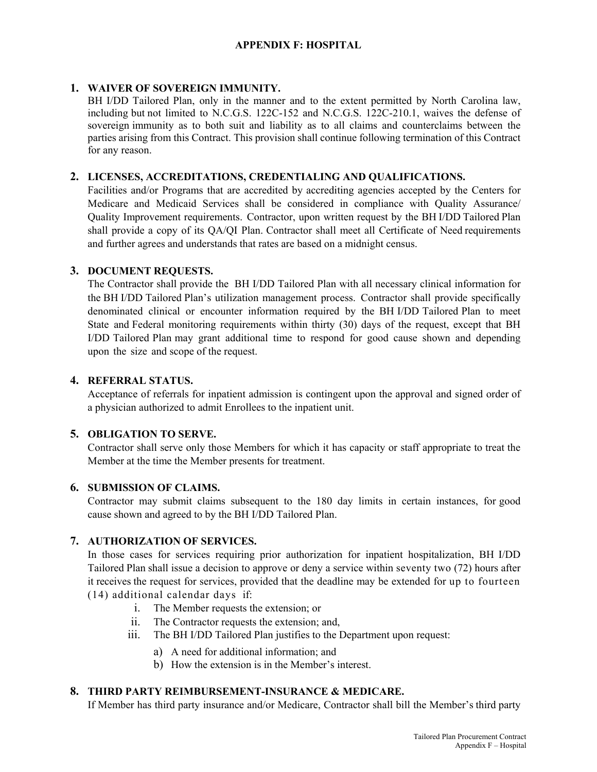# **APPENDIX F: HOSPITAL**

# **1. WAIVER OF SOVEREIGN IMMUNITY.**

BH I/DD Tailored Plan, only in the manner and to the extent permitted by North Carolina law, including but not limited to N.C.G.S. 122C-152 and N.C.G.S. 122C-210.1, waives the defense of sovereign immunity as to both suit and liability as to all claims and counterclaims between the parties arising from this Contract. This provision shall continue following termination of this Contract for any reason.

# **2. LICENSES, ACCREDITATIONS, CREDENTIALING AND QUALIFICATIONS.**

Facilities and/or Programs that are accredited by accrediting agencies accepted by the Centers for Medicare and Medicaid Services shall be considered in compliance with Quality Assurance/ Quality Improvement requirements. Contractor, upon written request by the BH I/DD Tailored Plan shall provide a copy of its QA/QI Plan. Contractor shall meet all Certificate of Need requirements and further agrees and understands that rates are based on a midnight census.

## **3. DOCUMENT REQUESTS.**

The Contractor shall provide the BH I/DD Tailored Plan with all necessary clinical information for the BH I/DD Tailored Plan's utilization management process. Contractor shall provide specifically denominated clinical or encounter information required by the BH I/DD Tailored Plan to meet State and Federal monitoring requirements within thirty (30) days of the request, except that BH I/DD Tailored Plan may grant additional time to respond for good cause shown and depending upon the size and scope of the request.

# **4. REFERRAL STATUS.**

Acceptance of referrals for inpatient admission is contingent upon the approval and signed order of a physician authorized to admit Enrollees to the inpatient unit.

# **5. OBLIGATION TO SERVE.**

Contractor shall serve only those Members for which it has capacity or staff appropriate to treat the Member at the time the Member presents for treatment.

#### **6. SUBMISSION OF CLAIMS.**

Contractor may submit claims subsequent to the 180 day limits in certain instances, for good cause shown and agreed to by the BH I/DD Tailored Plan.

# **7. AUTHORIZATION OF SERVICES.**

In those cases for services requiring prior authorization for inpatient hospitalization, BH I/DD Tailored Plan shall issue a decision to approve or deny a service within seventy two (72) hours after it receives the request for services, provided that the deadline may be extended for up to fourteen (14) additional calendar days if:

- i. The Member requests the extension; or
- ii. The Contractor requests the extension; and,
- iii. The BH I/DD Tailored Plan justifies to the Department upon request:
	- a) A need for additional information; and
	- b) How the extension is in the Member's interest.

# **8. THIRD PARTY REIMBURSEMENT-INSURANCE & MEDICARE.**

If Member has third party insurance and/or Medicare, Contractor shall bill the Member's third party